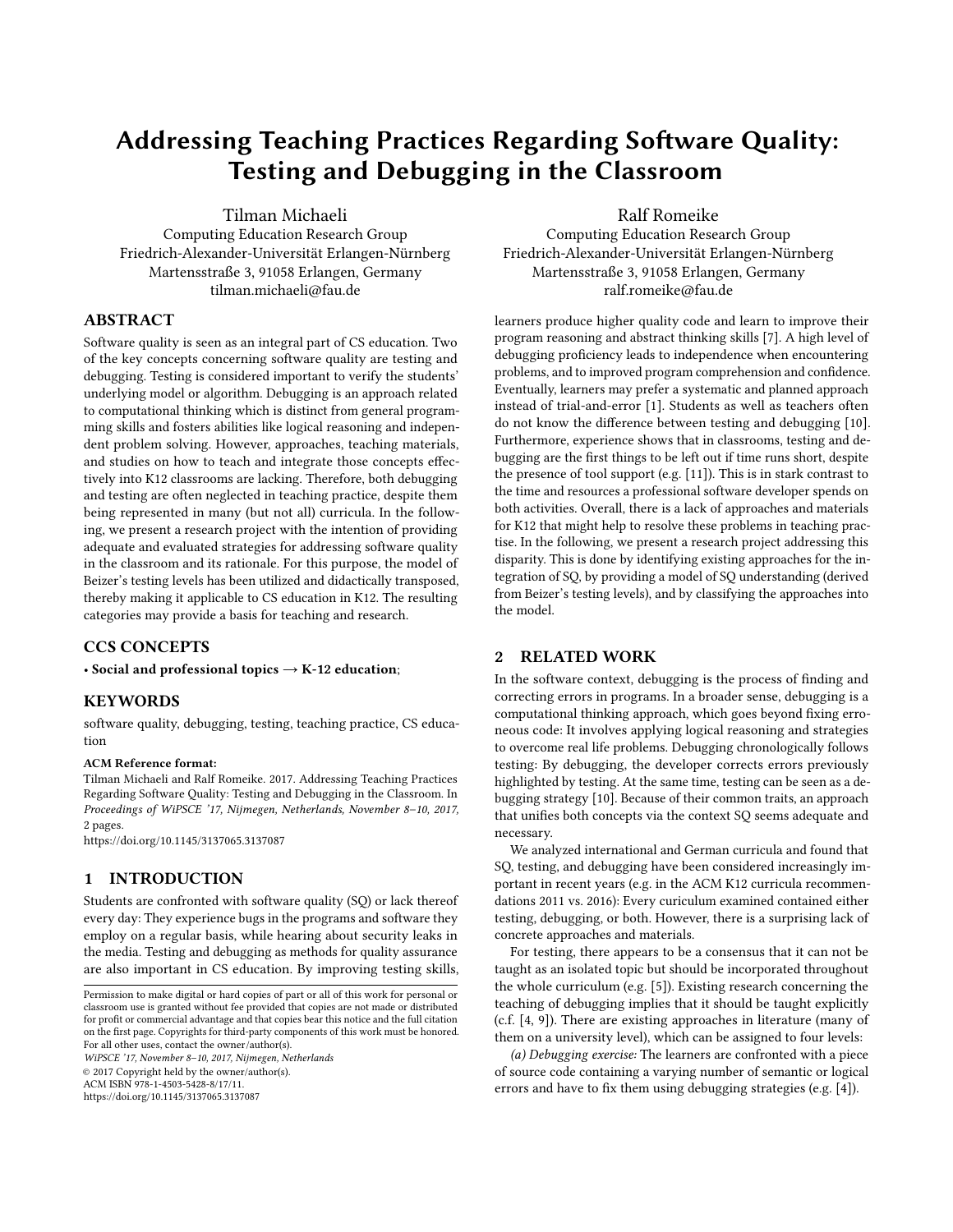# Addressing Teaching Practices Regarding Software Quality: Testing and Debugging in the Classroom

Tilman Michaeli Computing Education Research Group Friedrich-Alexander-Universität Erlangen-Nürnberg Martensstraße 3, 91058 Erlangen, Germany tilman.michaeli@fau.de

#### ABSTRACT

Software quality is seen as an integral part of CS education. Two of the key concepts concerning software quality are testing and debugging. Testing is considered important to verify the students' underlying model or algorithm. Debugging is an approach related to computational thinking which is distinct from general programming skills and fosters abilities like logical reasoning and independent problem solving. However, approaches, teaching materials, and studies on how to teach and integrate those concepts effectively into K12 classrooms are lacking. Therefore, both debugging and testing are often neglected in teaching practice, despite them being represented in many (but not all) curricula. In the following, we present a research project with the intention of providing adequate and evaluated strategies for addressing software quality in the classroom and its rationale. For this purpose, the model of Beizer's testing levels has been utilized and didactically transposed, thereby making it applicable to CS education in K12. The resulting categories may provide a basis for teaching and research.

# CCS CONCEPTS

• Social and professional topics  $\rightarrow$  K-12 education;

#### **KEYWORDS**

software quality, debugging, testing, teaching practice, CS education

#### ACM Reference format:

Tilman Michaeli and Ralf Romeike. 2017. Addressing Teaching Practices Regarding Software Quality: Testing and Debugging in the Classroom. In Proceedings of WiPSCE '17, Nijmegen, Netherlands, November 8–10, 2017, [2](#page-1-0) pages.

<https://doi.org/10.1145/3137065.3137087>

### 1 INTRODUCTION

Students are confronted with software quality (SQ) or lack thereof every day: They experience bugs in the programs and software they employ on a regular basis, while hearing about security leaks in the media. Testing and debugging as methods for quality assurance are also important in CS education. By improving testing skills,

WiPSCE '17, November 8–10, 2017, Nijmegen, Netherlands © 2017 Copyright held by the owner/author(s). ACM ISBN 978-1-4503-5428-8/17/11.

<https://doi.org/10.1145/3137065.3137087>

# Ralf Romeike

Computing Education Research Group Friedrich-Alexander-Universität Erlangen-Nürnberg Martensstraße 3, 91058 Erlangen, Germany ralf.romeike@fau.de

learners produce higher quality code and learn to improve their program reasoning and abstract thinking skills [\[7\]](#page-1-1). A high level of debugging proficiency leads to independence when encountering problems, and to improved program comprehension and confidence. Eventually, learners may prefer a systematic and planned approach instead of trial-and-error [\[1\]](#page-1-2). Students as well as teachers often do not know the difference between testing and debugging [\[10\]](#page-1-3). Furthermore, experience shows that in classrooms, testing and debugging are the first things to be left out if time runs short, despite the presence of tool support (e.g. [\[11\]](#page-1-4)). This is in stark contrast to the time and resources a professional software developer spends on both activities. Overall, there is a lack of approaches and materials for K12 that might help to resolve these problems in teaching practise. In the following, we present a research project addressing this disparity. This is done by identifying existing approaches for the integration of SQ, by providing a model of SQ understanding (derived from Beizer's testing levels), and by classifying the approaches into the model.

#### 2 RELATED WORK

In the software context, debugging is the process of finding and correcting errors in programs. In a broader sense, debugging is a computational thinking approach, which goes beyond fixing erroneous code: It involves applying logical reasoning and strategies to overcome real life problems. Debugging chronologically follows testing: By debugging, the developer corrects errors previously highlighted by testing. At the same time, testing can be seen as a debugging strategy [\[10\]](#page-1-3). Because of their common traits, an approach that unifies both concepts via the context SQ seems adequate and necessary.

We analyzed international and German curricula and found that SQ, testing, and debugging have been considered increasingly important in recent years (e.g. in the ACM K12 curricula recommendations 2011 vs. 2016): Every curiculum examined contained either testing, debugging, or both. However, there is a surprising lack of concrete approaches and materials.

For testing, there appears to be a consensus that it can not be taught as an isolated topic but should be incorporated throughout the whole curriculum (e.g. [\[5\]](#page-1-5)). Existing research concerning the teaching of debugging implies that it should be taught explicitly (c.f. [\[4,](#page-1-6) [9\]](#page-1-7)). There are existing approaches in literature (many of them on a university level), which can be assigned to four levels:

(a) Debugging exercise: The learners are confronted with a piece of source code containing a varying number of semantic or logical errors and have to fix them using debugging strategies (e.g. [\[4\]](#page-1-6)).

Permission to make digital or hard copies of part or all of this work for personal or classroom use is granted without fee provided that copies are not made or distributed for profit or commercial advantage and that copies bear this notice and the full citation on the first page. Copyrights for third-party components of this work must be honored. For all other uses, contact the owner/author(s).